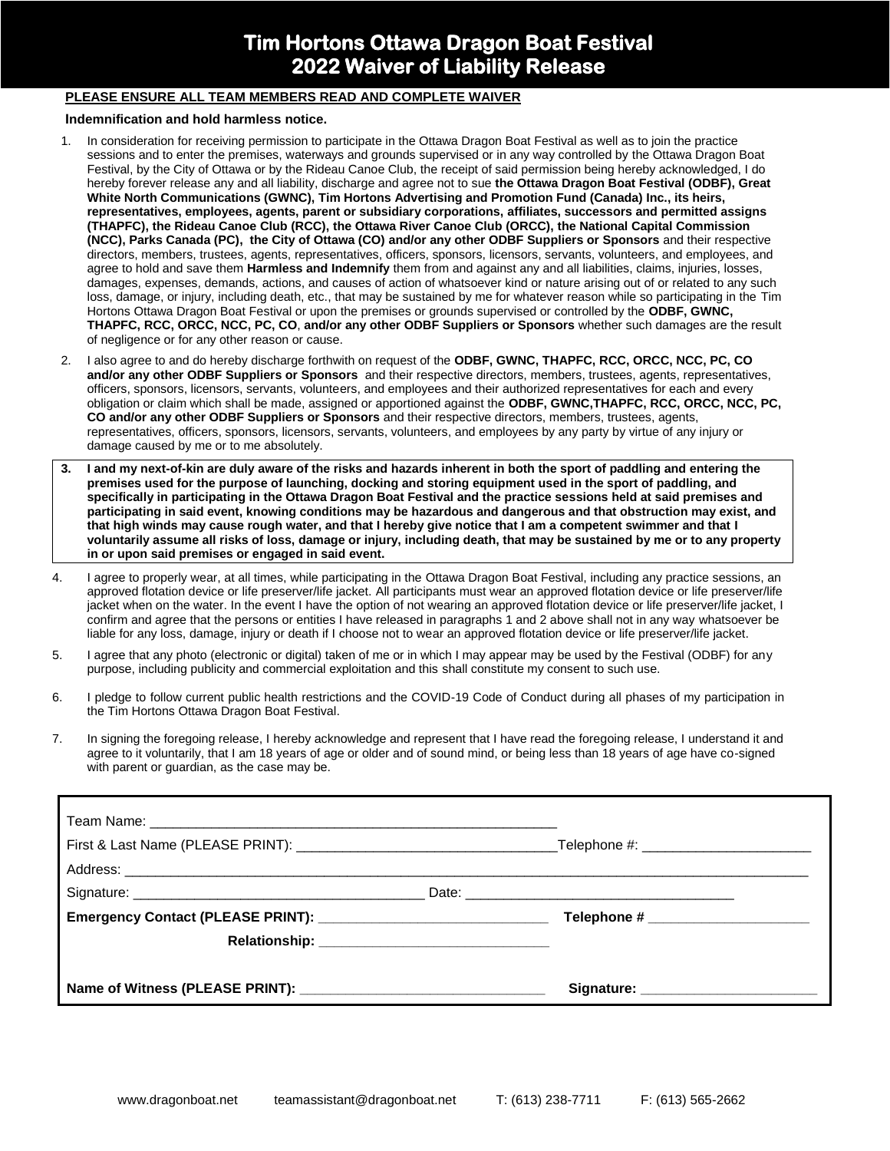## **Tim Hortons Ottawa Dragon Boat Festival 2022 Waiver of Liability Release**

## **PLEASE ENSURE ALL TEAM MEMBERS READ AND COMPLETE WAIVER**

## **Indemnification and hold harmless notice.**

- 1. In consideration for receiving permission to participate in the Ottawa Dragon Boat Festival as well as to join the practice sessions and to enter the premises, waterways and grounds supervised or in any way controlled by the Ottawa Dragon Boat Festival, by the City of Ottawa or by the Rideau Canoe Club, the receipt of said permission being hereby acknowledged, I do hereby forever release any and all liability, discharge and agree not to sue **the Ottawa Dragon Boat Festival (ODBF), Great White North Communications (GWNC), Tim Hortons Advertising and Promotion Fund (Canada) Inc., its heirs, representatives, employees, agents, parent or subsidiary corporations, affiliates, successors and permitted assigns (THAPFC), the Rideau Canoe Club (RCC), the Ottawa River Canoe Club (ORCC), the National Capital Commission (NCC), Parks Canada (PC), the City of Ottawa (CO) and/or any other ODBF Suppliers or Sponsors** and their respective directors, members, trustees, agents, representatives, officers, sponsors, licensors, servants, volunteers, and employees, and agree to hold and save them **Harmless and Indemnify** them from and against any and all liabilities, claims, injuries, losses, damages, expenses, demands, actions, and causes of action of whatsoever kind or nature arising out of or related to any such loss, damage, or injury, including death, etc., that may be sustained by me for whatever reason while so participating in the Tim Hortons Ottawa Dragon Boat Festival or upon the premises or grounds supervised or controlled by the **ODBF, GWNC, THAPFC, RCC, ORCC, NCC, PC, CO**, **and/or any other ODBF Suppliers or Sponsors** whether such damages are the result of negligence or for any other reason or cause.
- 2. I also agree to and do hereby discharge forthwith on request of the **ODBF, GWNC, THAPFC, RCC, ORCC, NCC, PC, CO and/or any other ODBF Suppliers or Sponsors** and their respective directors, members, trustees, agents, representatives, officers, sponsors, licensors, servants, volunteers, and employees and their authorized representatives for each and every obligation or claim which shall be made, assigned or apportioned against the **ODBF, GWNC,THAPFC, RCC, ORCC, NCC, PC, CO and/or any other ODBF Suppliers or Sponsors** and their respective directors, members, trustees, agents, representatives, officers, sponsors, licensors, servants, volunteers, and employees by any party by virtue of any injury or damage caused by me or to me absolutely.
- **3. I and my next-of-kin are duly aware of the risks and hazards inherent in both the sport of paddling and entering the premises used for the purpose of launching, docking and storing equipment used in the sport of paddling, and specifically in participating in the Ottawa Dragon Boat Festival and the practice sessions held at said premises and participating in said event, knowing conditions may be hazardous and dangerous and that obstruction may exist, and that high winds may cause rough water, and that I hereby give notice that I am a competent swimmer and that I voluntarily assume all risks of loss, damage or injury, including death, that may be sustained by me or to any property in or upon said premises or engaged in said event.**
- 4. I agree to properly wear, at all times, while participating in the Ottawa Dragon Boat Festival, including any practice sessions, an approved flotation device or life preserver/life jacket. All participants must wear an approved flotation device or life preserver/life jacket when on the water. In the event I have the option of not wearing an approved flotation device or life preserver/life jacket, I confirm and agree that the persons or entities I have released in paragraphs 1 and 2 above shall not in any way whatsoever be liable for any loss, damage, injury or death if I choose not to wear an approved flotation device or life preserver/life jacket.
- 5. I agree that any photo (electronic or digital) taken of me or in which I may appear may be used by the Festival (ODBF) for any purpose, including publicity and commercial exploitation and this shall constitute my consent to such use.
- 6. I pledge to follow current public health restrictions and the COVID-19 Code of Conduct during all phases of my participation in the Tim Hortons Ottawa Dragon Boat Festival.
- 7. In signing the foregoing release, I hereby acknowledge and represent that I have read the foregoing release, I understand it and agree to it voluntarily, that I am 18 years of age or older and of sound mind, or being less than 18 years of age have co-signed with parent or guardian, as the case may be.

|  | Signature: ____________________________ |  |
|--|-----------------------------------------|--|